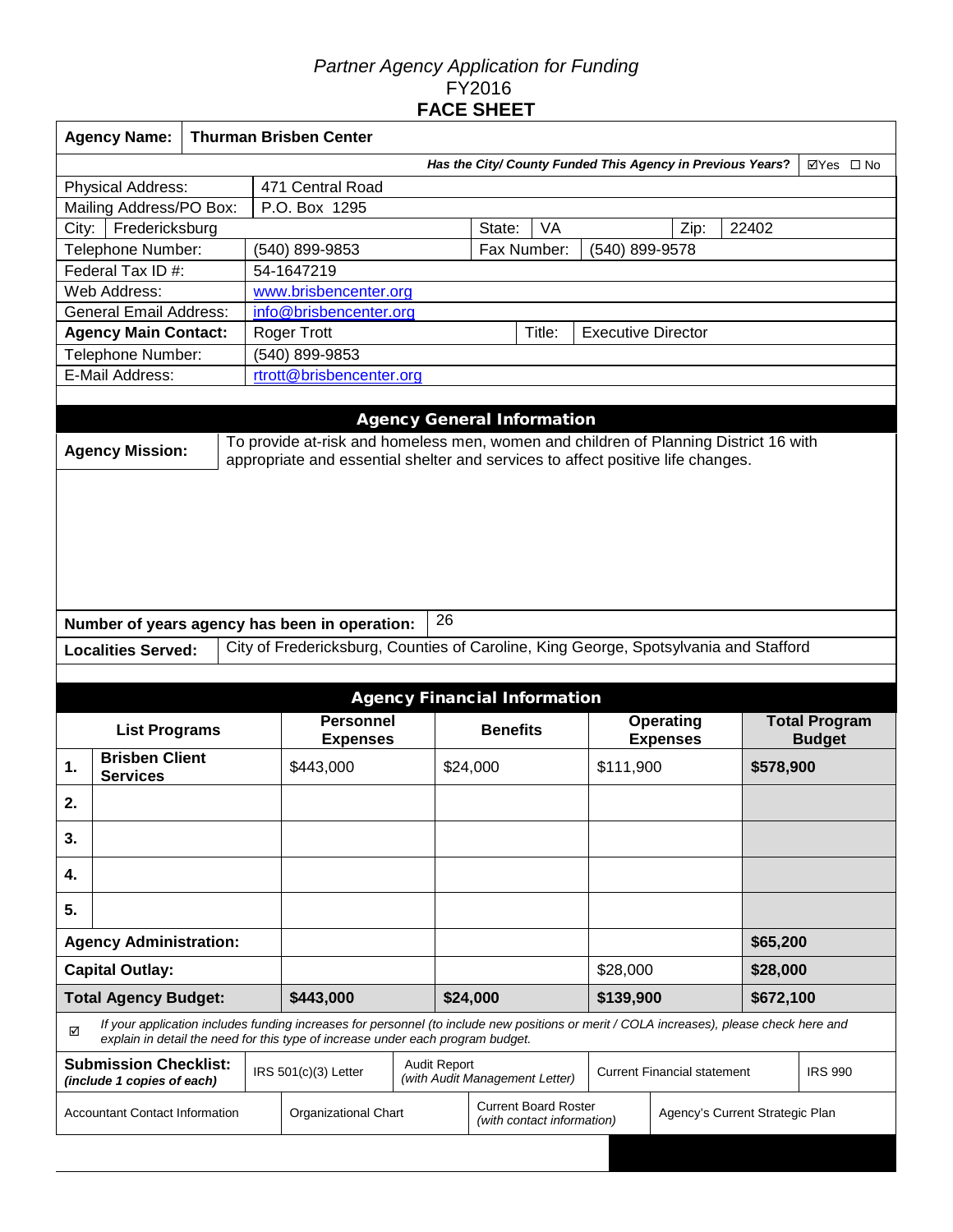# *Partner Agency Application for Funding*  FY2016 **FACE SHEET**

| <b>Agency Name:</b>                                                     | <b>Thurman Brisben Center</b> |  |                                                                                                                                                                                                                             |                                     |                 |                                                           |  |                                    |                                 |                      |  |  |
|-------------------------------------------------------------------------|-------------------------------|--|-----------------------------------------------------------------------------------------------------------------------------------------------------------------------------------------------------------------------------|-------------------------------------|-----------------|-----------------------------------------------------------|--|------------------------------------|---------------------------------|----------------------|--|--|
| Has the City/ County Funded This Agency in Previous Years?<br>⊠Yes □ No |                               |  |                                                                                                                                                                                                                             |                                     |                 |                                                           |  |                                    |                                 |                      |  |  |
| Physical Address:                                                       |                               |  | 471 Central Road                                                                                                                                                                                                            |                                     |                 |                                                           |  |                                    |                                 |                      |  |  |
| Mailing Address/PO Box:                                                 |                               |  | P.O. Box 1295                                                                                                                                                                                                               |                                     |                 |                                                           |  |                                    |                                 |                      |  |  |
| Fredericksburg<br>City:                                                 |                               |  |                                                                                                                                                                                                                             |                                     |                 | State:<br>VA                                              |  | Zip:                               | 22402                           |                      |  |  |
| Telephone Number:                                                       |                               |  | (540) 899-9853                                                                                                                                                                                                              |                                     |                 | Fax Number:                                               |  | (540) 899-9578                     |                                 |                      |  |  |
| Federal Tax ID #:                                                       |                               |  | 54-1647219                                                                                                                                                                                                                  |                                     |                 |                                                           |  |                                    |                                 |                      |  |  |
| Web Address:                                                            | www.brisbencenter.org         |  |                                                                                                                                                                                                                             |                                     |                 |                                                           |  |                                    |                                 |                      |  |  |
| <b>General Email Address:</b>                                           |                               |  |                                                                                                                                                                                                                             | info@brisbencenter.org              |                 |                                                           |  |                                    |                                 |                      |  |  |
| <b>Agency Main Contact:</b>                                             |                               |  | Roger Trott                                                                                                                                                                                                                 | Title:<br><b>Executive Director</b> |                 |                                                           |  |                                    |                                 |                      |  |  |
| Telephone Number:                                                       |                               |  | (540) 899-9853                                                                                                                                                                                                              |                                     |                 |                                                           |  |                                    |                                 |                      |  |  |
| E-Mail Address:                                                         |                               |  | rtrott@brisbencenter.org                                                                                                                                                                                                    |                                     |                 |                                                           |  |                                    |                                 |                      |  |  |
|                                                                         |                               |  |                                                                                                                                                                                                                             |                                     |                 |                                                           |  |                                    |                                 |                      |  |  |
|                                                                         |                               |  |                                                                                                                                                                                                                             |                                     |                 | <b>Agency General Information</b>                         |  |                                    |                                 |                      |  |  |
|                                                                         |                               |  | To provide at-risk and homeless men, women and children of Planning District 16 with                                                                                                                                        |                                     |                 |                                                           |  |                                    |                                 |                      |  |  |
| <b>Agency Mission:</b>                                                  |                               |  | appropriate and essential shelter and services to affect positive life changes.                                                                                                                                             |                                     |                 |                                                           |  |                                    |                                 |                      |  |  |
|                                                                         |                               |  |                                                                                                                                                                                                                             |                                     |                 |                                                           |  |                                    |                                 |                      |  |  |
|                                                                         |                               |  |                                                                                                                                                                                                                             |                                     |                 |                                                           |  |                                    |                                 |                      |  |  |
|                                                                         |                               |  |                                                                                                                                                                                                                             |                                     |                 |                                                           |  |                                    |                                 |                      |  |  |
|                                                                         |                               |  |                                                                                                                                                                                                                             |                                     |                 |                                                           |  |                                    |                                 |                      |  |  |
|                                                                         |                               |  |                                                                                                                                                                                                                             |                                     |                 |                                                           |  |                                    |                                 |                      |  |  |
|                                                                         |                               |  |                                                                                                                                                                                                                             |                                     |                 |                                                           |  |                                    |                                 |                      |  |  |
|                                                                         |                               |  |                                                                                                                                                                                                                             |                                     |                 |                                                           |  |                                    |                                 |                      |  |  |
| Number of years agency has been in operation:                           |                               |  |                                                                                                                                                                                                                             |                                     | 26              |                                                           |  |                                    |                                 |                      |  |  |
| <b>Localities Served:</b>                                               |                               |  | City of Fredericksburg, Counties of Caroline, King George, Spotsylvania and Stafford                                                                                                                                        |                                     |                 |                                                           |  |                                    |                                 |                      |  |  |
|                                                                         |                               |  |                                                                                                                                                                                                                             |                                     |                 |                                                           |  |                                    |                                 |                      |  |  |
|                                                                         |                               |  |                                                                                                                                                                                                                             |                                     |                 | <b>Agency Financial Information</b>                       |  |                                    |                                 |                      |  |  |
|                                                                         |                               |  | <b>Personnel</b>                                                                                                                                                                                                            |                                     |                 |                                                           |  | <b>Operating</b>                   |                                 | <b>Total Program</b> |  |  |
| <b>List Programs</b>                                                    |                               |  | <b>Expenses</b>                                                                                                                                                                                                             |                                     | <b>Benefits</b> |                                                           |  | <b>Expenses</b>                    | <b>Budget</b>                   |                      |  |  |
| <b>Brisben Client</b><br>1.                                             |                               |  | \$443,000                                                                                                                                                                                                                   |                                     | \$24,000        |                                                           |  | \$111,900                          |                                 | \$578,900            |  |  |
| <b>Services</b>                                                         |                               |  |                                                                                                                                                                                                                             |                                     |                 |                                                           |  |                                    |                                 |                      |  |  |
| 2.                                                                      |                               |  |                                                                                                                                                                                                                             |                                     |                 |                                                           |  |                                    |                                 |                      |  |  |
|                                                                         |                               |  |                                                                                                                                                                                                                             |                                     |                 |                                                           |  |                                    |                                 |                      |  |  |
| 3.                                                                      |                               |  |                                                                                                                                                                                                                             |                                     |                 |                                                           |  |                                    |                                 |                      |  |  |
| 4.                                                                      |                               |  |                                                                                                                                                                                                                             |                                     |                 |                                                           |  |                                    |                                 |                      |  |  |
| 5.                                                                      |                               |  |                                                                                                                                                                                                                             |                                     |                 |                                                           |  |                                    |                                 |                      |  |  |
| <b>Agency Administration:</b>                                           |                               |  |                                                                                                                                                                                                                             |                                     |                 |                                                           |  |                                    | \$65,200                        |                      |  |  |
| <b>Capital Outlay:</b>                                                  |                               |  |                                                                                                                                                                                                                             |                                     |                 |                                                           |  | \$28,000                           |                                 | \$28,000             |  |  |
| <b>Total Agency Budget:</b>                                             |                               |  | \$443,000                                                                                                                                                                                                                   |                                     |                 | \$24,000                                                  |  | \$139,900                          |                                 | \$672,100            |  |  |
| ☑                                                                       |                               |  | If your application includes funding increases for personnel (to include new positions or merit / COLA increases), please check here and<br>explain in detail the need for this type of increase under each program budget. |                                     |                 |                                                           |  |                                    |                                 |                      |  |  |
| <b>Submission Checklist:</b><br>(include 1 copies of each)              |                               |  | IRS 501(c)(3) Letter                                                                                                                                                                                                        | <b>Audit Report</b>                 |                 | (with Audit Management Letter)                            |  | <b>Current Financial statement</b> |                                 | <b>IRS 990</b>       |  |  |
| <b>Accountant Contact Information</b>                                   |                               |  | <b>Organizational Chart</b>                                                                                                                                                                                                 |                                     |                 | <b>Current Board Roster</b><br>(with contact information) |  |                                    | Agency's Current Strategic Plan |                      |  |  |
|                                                                         |                               |  |                                                                                                                                                                                                                             |                                     |                 |                                                           |  |                                    |                                 |                      |  |  |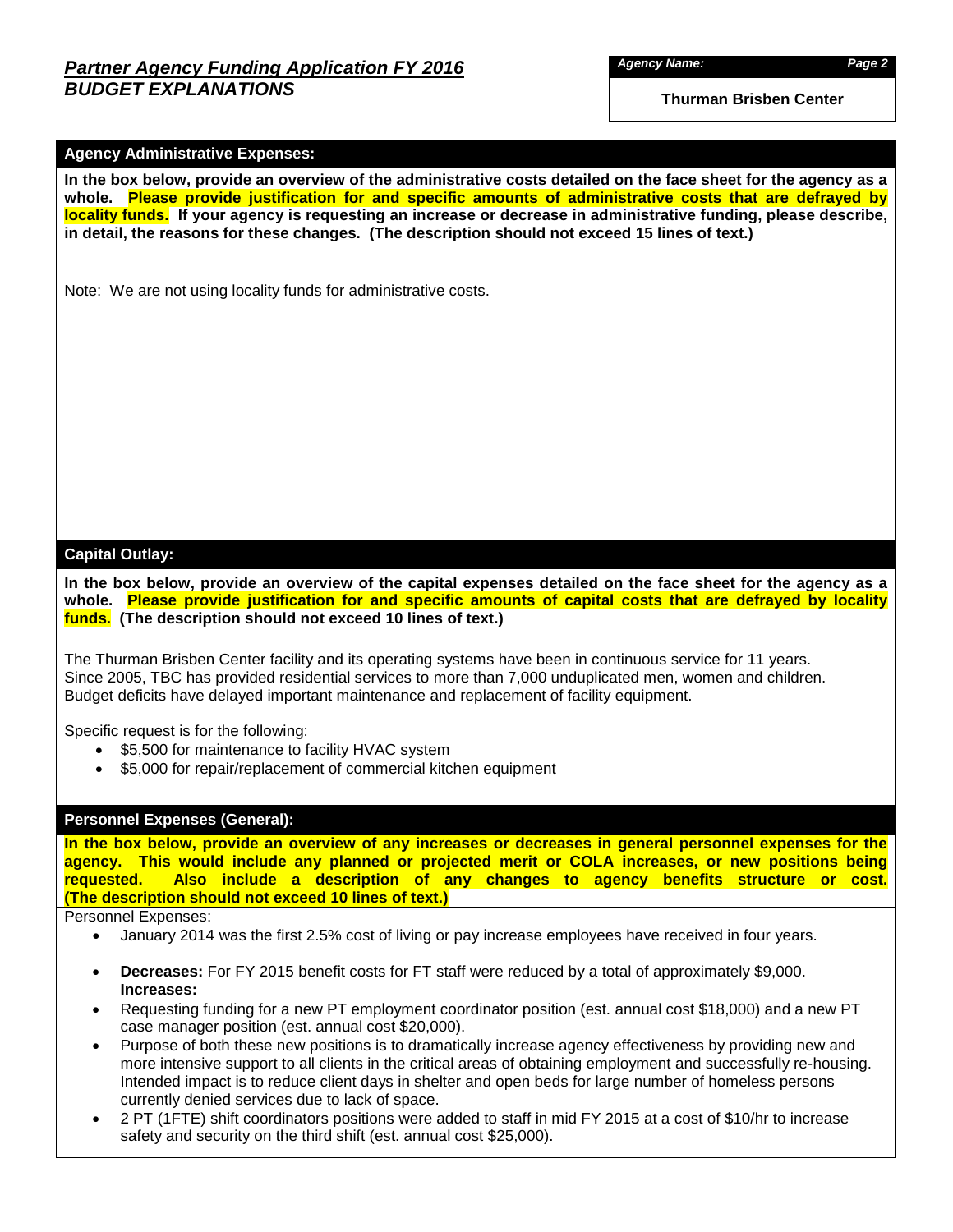*Agency Name: Page 2*

**Thurman Brisben Center** 

### **Agency Administrative Expenses:**

**In the box below, provide an overview of the administrative costs detailed on the face sheet for the agency as a whole. Please provide justification for and specific amounts of administrative costs that are defrayed by locality funds. If your agency is requesting an increase or decrease in administrative funding, please describe, in detail, the reasons for these changes. (The description should not exceed 15 lines of text.)**

Note: We are not using locality funds for administrative costs.

### **Capital Outlay:**

**In the box below, provide an overview of the capital expenses detailed on the face sheet for the agency as a whole. Please provide justification for and specific amounts of capital costs that are defrayed by locality funds. (The description should not exceed 10 lines of text.)**

The Thurman Brisben Center facility and its operating systems have been in continuous service for 11 years. Since 2005, TBC has provided residential services to more than 7,000 unduplicated men, women and children. Budget deficits have delayed important maintenance and replacement of facility equipment.

Specific request is for the following:

- \$5,500 for maintenance to facility HVAC system
- \$5,000 for repair/replacement of commercial kitchen equipment

### **Personnel Expenses (General):**

**In the box below, provide an overview of any increases or decreases in general personnel expenses for the agency. This would include any planned or projected merit or COLA increases, or new positions being**  Also include a description of any changes to agency benefits structure or cost. **(The description should not exceed 10 lines of text.)**

Personnel Expenses:

- January 2014 was the first 2.5% cost of living or pay increase employees have received in four years.
- **Decreases:** For FY 2015 benefit costs for FT staff were reduced by a total of approximately \$9,000. **Increases:**
- Requesting funding for a new PT employment coordinator position (est. annual cost \$18,000) and a new PT case manager position (est. annual cost \$20,000).
- Purpose of both these new positions is to dramatically increase agency effectiveness by providing new and more intensive support to all clients in the critical areas of obtaining employment and successfully re-housing. Intended impact is to reduce client days in shelter and open beds for large number of homeless persons currently denied services due to lack of space.
- 2 PT (1FTE) shift coordinators positions were added to staff in mid FY 2015 at a cost of \$10/hr to increase safety and security on the third shift (est. annual cost \$25,000).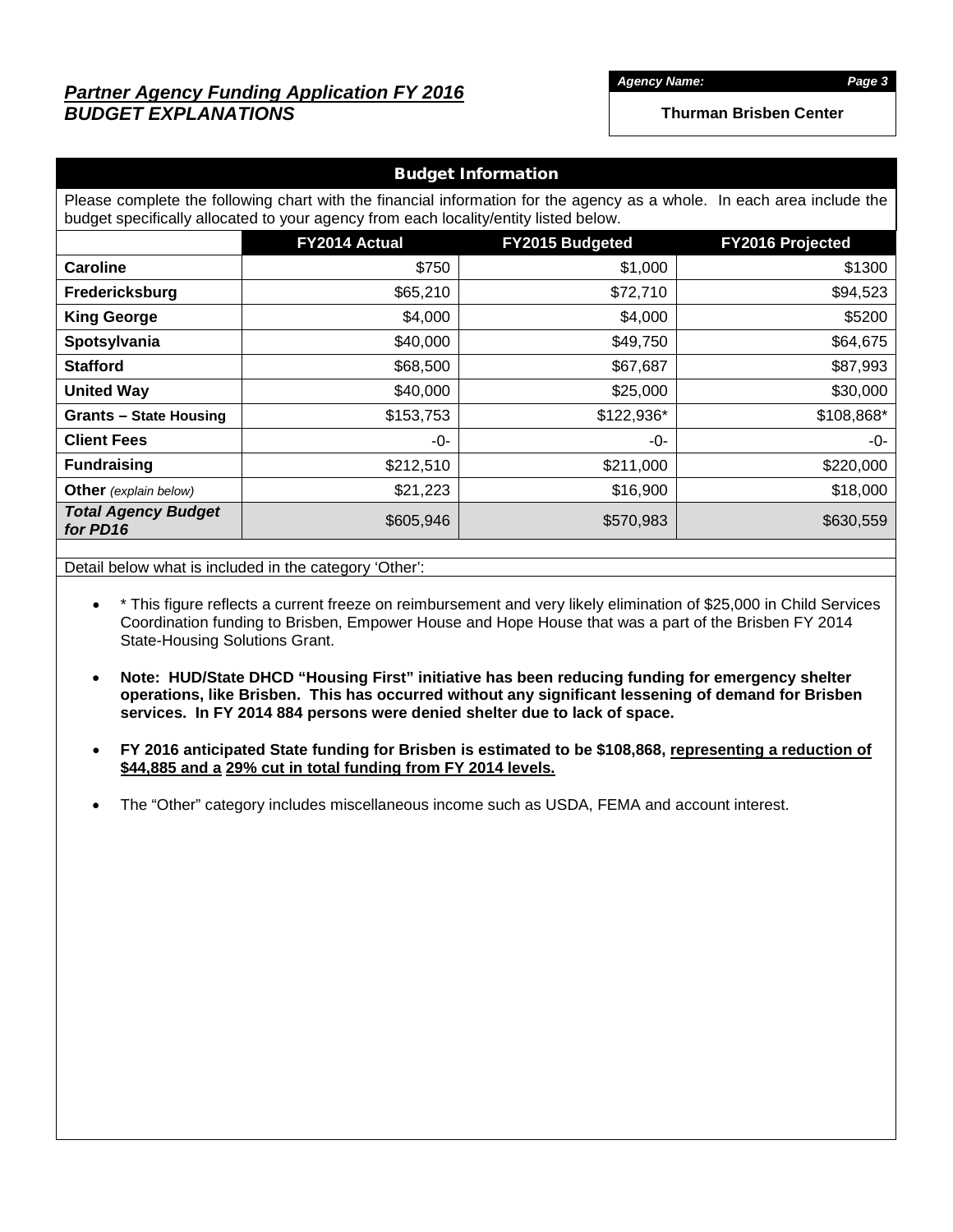# *Partner Agency Funding Application FY 2016 BUDGET EXPLANATIONS*

*Agency Name: Page 3*

**Thurman Brisben Center** 

| <b>Budget Information</b>                                                                                                                                                                                      |                                                             |            |            |  |  |  |  |  |  |  |  |
|----------------------------------------------------------------------------------------------------------------------------------------------------------------------------------------------------------------|-------------------------------------------------------------|------------|------------|--|--|--|--|--|--|--|--|
| Please complete the following chart with the financial information for the agency as a whole. In each area include the<br>budget specifically allocated to your agency from each locality/entity listed below. |                                                             |            |            |  |  |  |  |  |  |  |  |
|                                                                                                                                                                                                                | FY2014 Actual<br>FY2015 Budgeted<br><b>FY2016 Projected</b> |            |            |  |  |  |  |  |  |  |  |
| <b>Caroline</b>                                                                                                                                                                                                | \$750                                                       | \$1,000    | \$1300     |  |  |  |  |  |  |  |  |
| Fredericksburg                                                                                                                                                                                                 | \$65,210                                                    | \$72,710   | \$94,523   |  |  |  |  |  |  |  |  |
| <b>King George</b>                                                                                                                                                                                             | \$4,000                                                     | \$4,000    | \$5200     |  |  |  |  |  |  |  |  |
| Spotsylvania                                                                                                                                                                                                   | \$40,000                                                    | \$49,750   | \$64,675   |  |  |  |  |  |  |  |  |
| <b>Stafford</b>                                                                                                                                                                                                | \$68,500                                                    | \$67,687   | \$87,993   |  |  |  |  |  |  |  |  |
| <b>United Way</b>                                                                                                                                                                                              | \$40,000                                                    | \$25,000   | \$30,000   |  |  |  |  |  |  |  |  |
| <b>Grants - State Housing</b>                                                                                                                                                                                  | \$153,753                                                   | \$122,936* | \$108,868* |  |  |  |  |  |  |  |  |
| <b>Client Fees</b>                                                                                                                                                                                             | -0-                                                         | -0-        | -0-        |  |  |  |  |  |  |  |  |
| <b>Fundraising</b>                                                                                                                                                                                             | \$212,510                                                   | \$211,000  | \$220,000  |  |  |  |  |  |  |  |  |
| <b>Other</b> (explain below)                                                                                                                                                                                   | \$21,223                                                    | \$16,900   | \$18,000   |  |  |  |  |  |  |  |  |
| <b>Total Agency Budget</b><br>for PD16                                                                                                                                                                         | \$605,946                                                   | \$570,983  | \$630,559  |  |  |  |  |  |  |  |  |
|                                                                                                                                                                                                                |                                                             |            |            |  |  |  |  |  |  |  |  |

Detail below what is included in the category 'Other':

- \* This figure reflects a current freeze on reimbursement and very likely elimination of \$25,000 in Child Services Coordination funding to Brisben, Empower House and Hope House that was a part of the Brisben FY 2014 State-Housing Solutions Grant.
- **Note: HUD/State DHCD "Housing First" initiative has been reducing funding for emergency shelter operations, like Brisben. This has occurred without any significant lessening of demand for Brisben services. In FY 2014 884 persons were denied shelter due to lack of space.**
- **FY 2016 anticipated State funding for Brisben is estimated to be \$108,868, representing a reduction of \$44,885 and a 29% cut in total funding from FY 2014 levels.**
- The "Other" category includes miscellaneous income such as USDA, FEMA and account interest.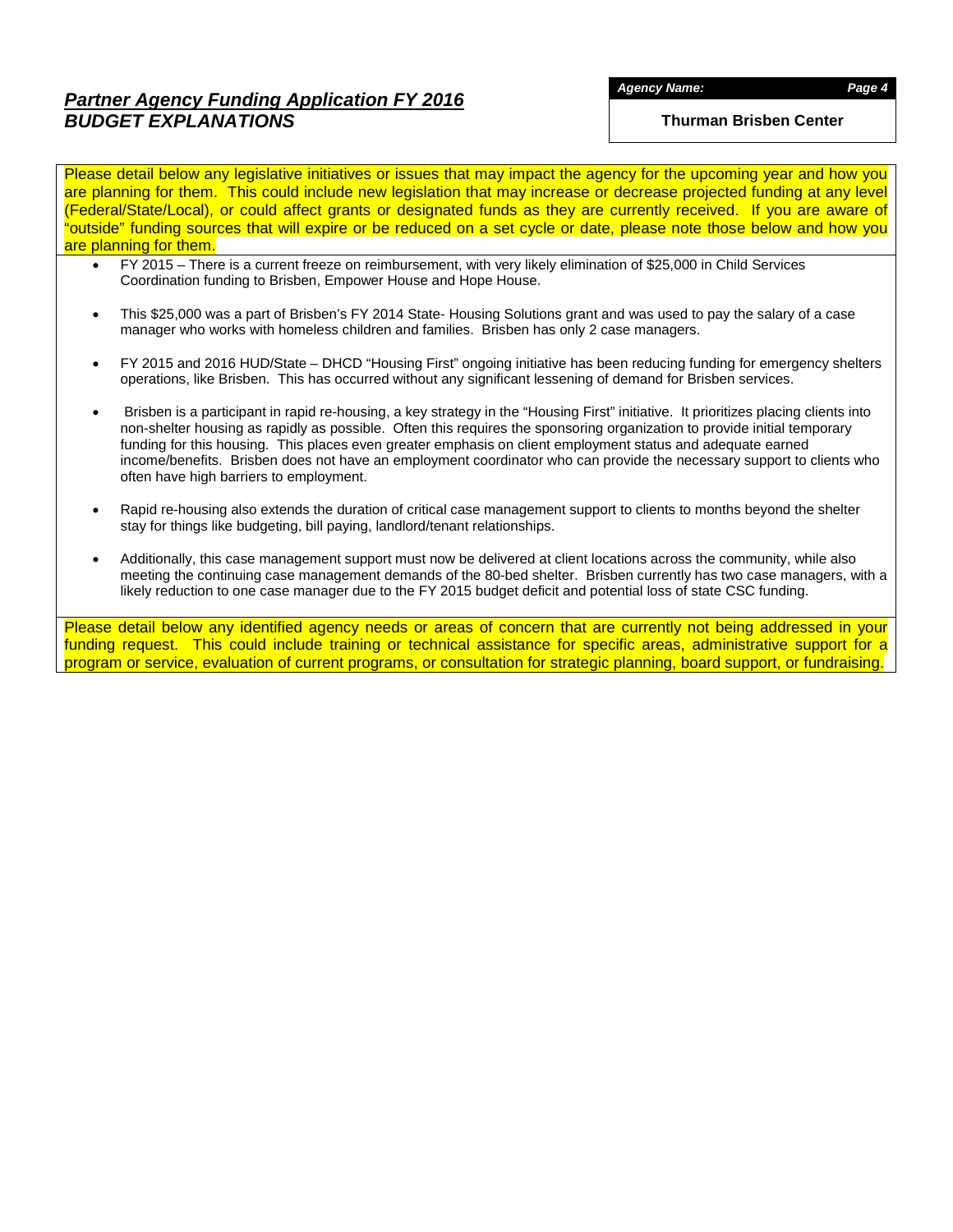# *Partner Agency Funding Application FY 2016 BUDGET EXPLANATIONS*

**Thurman Brisben Center** 

Please detail below any legislative initiatives or issues that may impact the agency for the upcoming year and how you are planning for them. This could include new legislation that may increase or decrease projected funding at any level (Federal/State/Local), or could affect grants or designated funds as they are currently received. If you are aware of "outside" funding sources that will expire or be reduced on a set cycle or date, please note those below and how you are planning for them.

- FY 2015 There is a current freeze on reimbursement, with very likely elimination of \$25,000 in Child Services Coordination funding to Brisben, Empower House and Hope House.
- This \$25,000 was a part of Brisben's FY 2014 State- Housing Solutions grant and was used to pay the salary of a case manager who works with homeless children and families. Brisben has only 2 case managers.
- FY 2015 and 2016 HUD/State DHCD "Housing First" ongoing initiative has been reducing funding for emergency shelters operations, like Brisben. This has occurred without any significant lessening of demand for Brisben services.
- Brisben is a participant in rapid re-housing, a key strategy in the "Housing First" initiative. It prioritizes placing clients into non-shelter housing as rapidly as possible. Often this requires the sponsoring organization to provide initial temporary funding for this housing. This places even greater emphasis on client employment status and adequate earned income/benefits. Brisben does not have an employment coordinator who can provide the necessary support to clients who often have high barriers to employment.
- Rapid re-housing also extends the duration of critical case management support to clients to months beyond the shelter stay for things like budgeting, bill paying, landlord/tenant relationships.
- Additionally, this case management support must now be delivered at client locations across the community, while also meeting the continuing case management demands of the 80-bed shelter. Brisben currently has two case managers, with a likely reduction to one case manager due to the FY 2015 budget deficit and potential loss of state CSC funding.

Please detail below any identified agency needs or areas of concern that are currently not being addressed in your funding request. This could include training or technical assistance for specific areas, administrative support for a program or service, evaluation of current programs, or consultation for strategic planning, board support, or fundraising.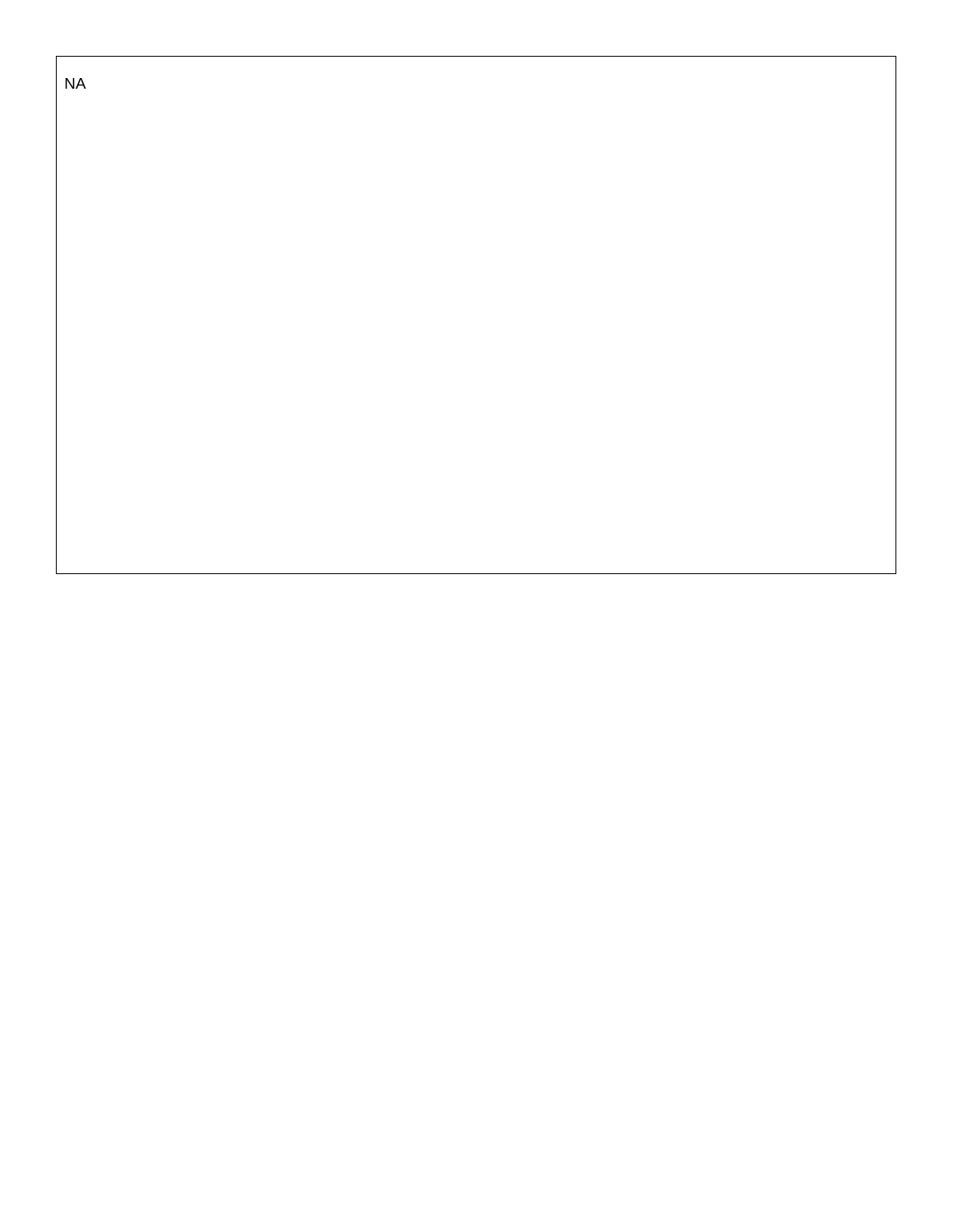NA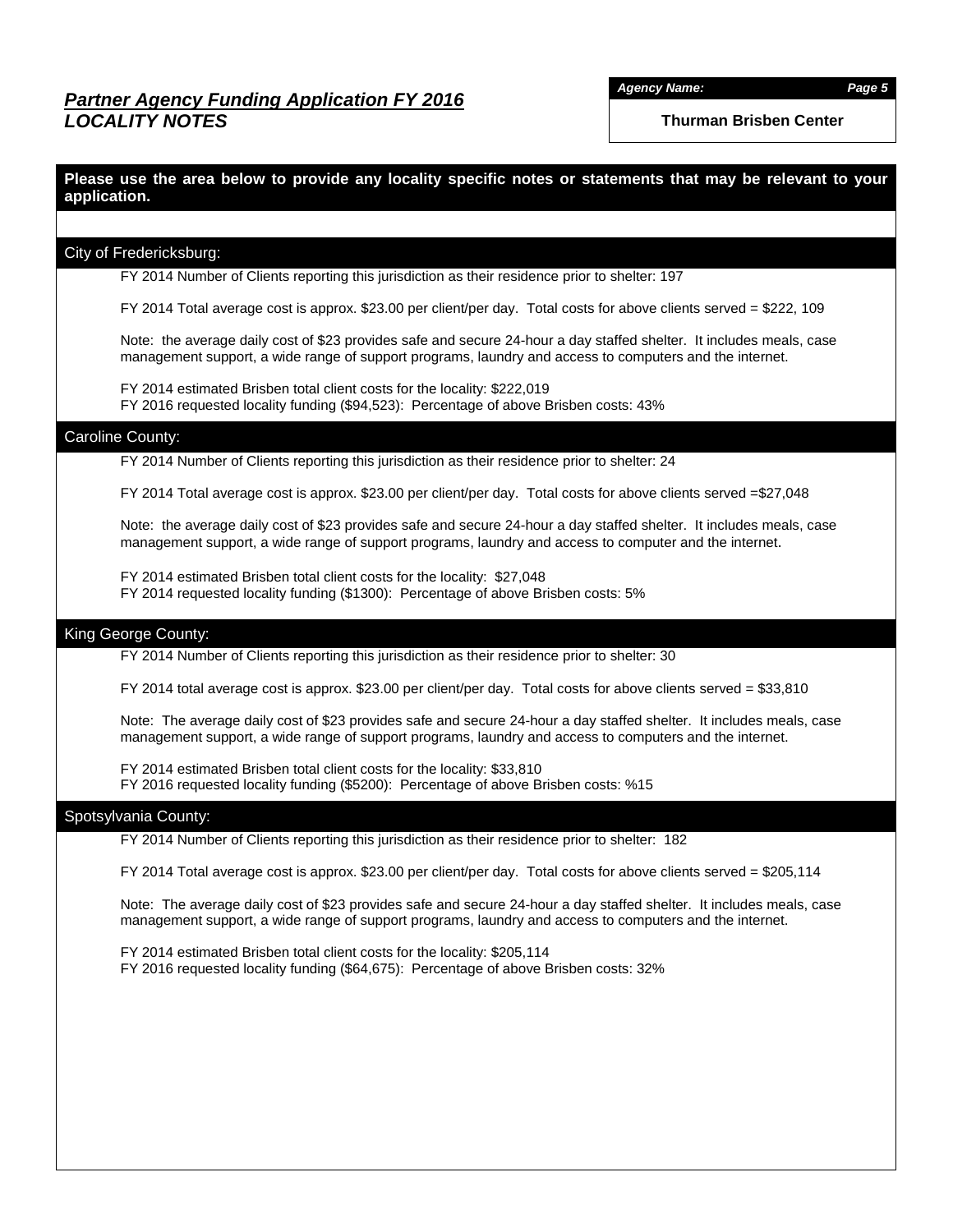**Thurman Brisben Center** 

### **Please use the area below to provide any locality specific notes or statements that may be relevant to your application.**

#### City of Fredericksburg:

FY 2014 Number of Clients reporting this jurisdiction as their residence prior to shelter: 197

FY 2014 Total average cost is approx. \$23.00 per client/per day. Total costs for above clients served = \$222, 109

Note: the average daily cost of \$23 provides safe and secure 24-hour a day staffed shelter. It includes meals, case management support, a wide range of support programs, laundry and access to computers and the internet.

FY 2014 estimated Brisben total client costs for the locality: \$222,019 FY 2016 requested locality funding (\$94,523): Percentage of above Brisben costs: 43%

#### Caroline County:

FY 2014 Number of Clients reporting this jurisdiction as their residence prior to shelter: 24

FY 2014 Total average cost is approx. \$23.00 per client/per day. Total costs for above clients served =\$27,048

Note: the average daily cost of \$23 provides safe and secure 24-hour a day staffed shelter. It includes meals, case management support, a wide range of support programs, laundry and access to computer and the internet.

FY 2014 estimated Brisben total client costs for the locality: \$27,048 FY 2014 requested locality funding (\$1300): Percentage of above Brisben costs: 5%

### King George County:

FY 2014 Number of Clients reporting this jurisdiction as their residence prior to shelter: 30

 $FY$  2014 total average cost is approx. \$23.00 per client/per day. Total costs for above clients served = \$33,810

Note: The average daily cost of \$23 provides safe and secure 24-hour a day staffed shelter. It includes meals, case management support, a wide range of support programs, laundry and access to computers and the internet.

FY 2014 estimated Brisben total client costs for the locality: \$33,810 FY 2016 requested locality funding (\$5200): Percentage of above Brisben costs: %15

#### Spotsylvania County:

FY 2014 Number of Clients reporting this jurisdiction as their residence prior to shelter: 182

FY 2014 Total average cost is approx. \$23.00 per client/per day. Total costs for above clients served = \$205,114

Note: The average daily cost of \$23 provides safe and secure 24-hour a day staffed shelter. It includes meals, case management support, a wide range of support programs, laundry and access to computers and the internet.

FY 2014 estimated Brisben total client costs for the locality: \$205,114 FY 2016 requested locality funding (\$64,675): Percentage of above Brisben costs: 32%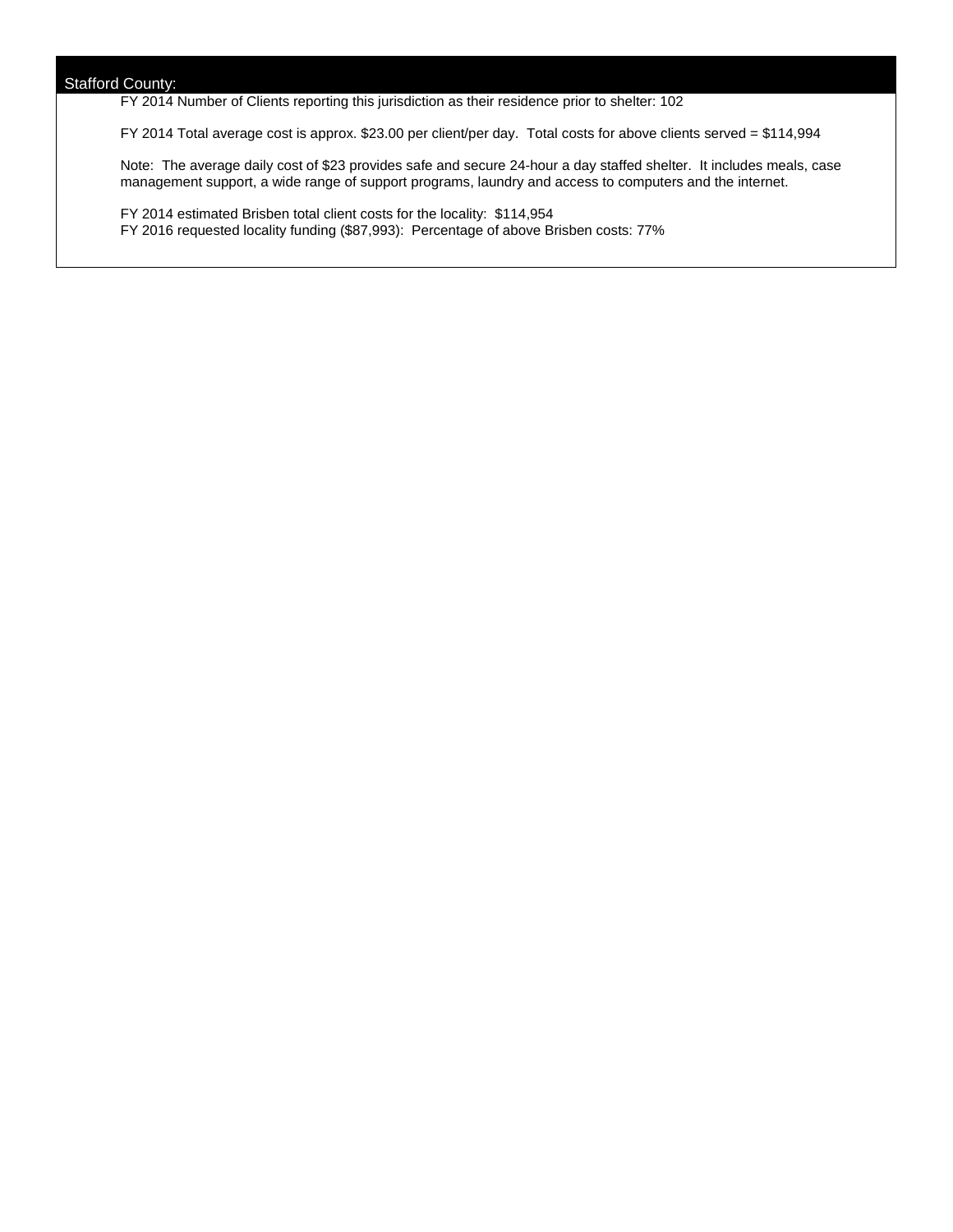FY 2014 Number of Clients reporting this jurisdiction as their residence prior to shelter: 102

FY 2014 Total average cost is approx. \$23.00 per client/per day. Total costs for above clients served = \$114,994

Note: The average daily cost of \$23 provides safe and secure 24-hour a day staffed shelter. It includes meals, case management support, a wide range of support programs, laundry and access to computers and the internet.

FY 2014 estimated Brisben total client costs for the locality: \$114,954 FY 2016 requested locality funding (\$87,993): Percentage of above Brisben costs: 77%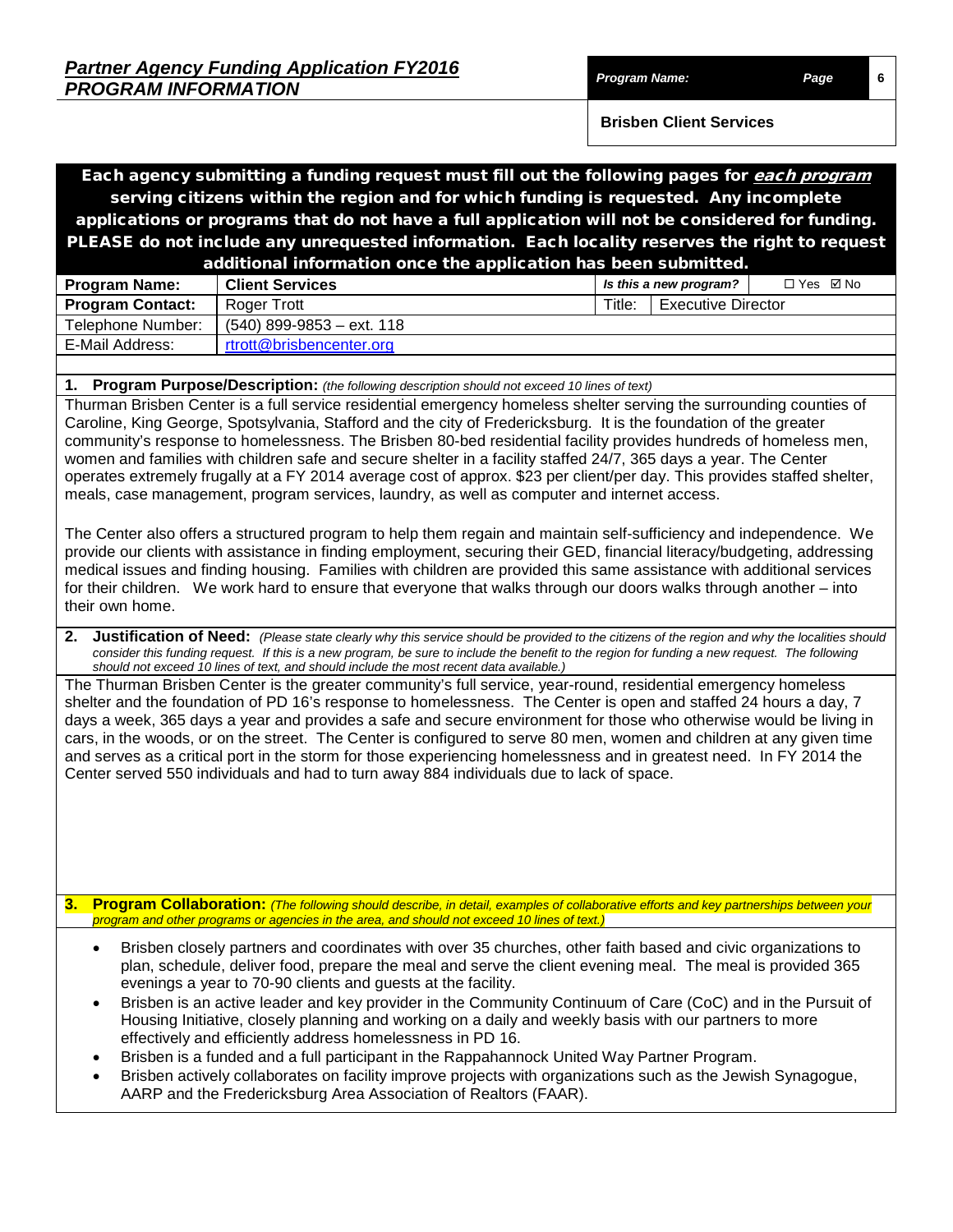**Brisben Client Services** 

# Each agency submitting a funding request must fill out the following pages for <u>*each program*</u> serving citizens within the region and for which funding is requested. Any incomplete applications or programs that do not have a full application will not be considered for funding. PLEASE do not include any unrequested information. Each locality reserves the right to request additional information once the application has been submitted.

| <b>Program Name:</b>    | <b>Client Services</b>      |        | Is this a new program?    | □ Yes ☑ No |
|-------------------------|-----------------------------|--------|---------------------------|------------|
| <b>Program Contact:</b> | Roger Trott                 | Title: | <b>Executive Director</b> |            |
| Telephone Number:       | $(540)$ 899-9853 - ext. 118 |        |                           |            |
| E-Mail Address:         | rtrott@brisbencenter.org    |        |                           |            |
|                         |                             |        |                           |            |

### **1. Program Purpose/Description:** *(the following description should not exceed 10 lines of text)*

Thurman Brisben Center is a full service residential emergency homeless shelter serving the surrounding counties of Caroline, King George, Spotsylvania, Stafford and the city of Fredericksburg. It is the foundation of the greater community's response to homelessness. The Brisben 80-bed residential facility provides hundreds of homeless men, women and families with children safe and secure shelter in a facility staffed 24/7, 365 days a year. The Center operates extremely frugally at a FY 2014 average cost of approx. \$23 per client/per day. This provides staffed shelter, meals, case management, program services, laundry, as well as computer and internet access.

The Center also offers a structured program to help them regain and maintain self-sufficiency and independence. We provide our clients with assistance in finding employment, securing their GED, financial literacy/budgeting, addressing medical issues and finding housing. Families with children are provided this same assistance with additional services for their children. We work hard to ensure that everyone that walks through our doors walks through another – into their own home.

**2. Justification of Need:** *(Please state clearly why this service should be provided to the citizens of the region and why the localities should consider this funding request. If this is a new program, be sure to include the benefit to the region for funding a new request. The following should not exceed 10 lines of text, and should include the most recent data available.)*

The Thurman Brisben Center is the greater community's full service, year-round, residential emergency homeless shelter and the foundation of PD 16's response to homelessness. The Center is open and staffed 24 hours a day, 7 days a week, 365 days a year and provides a safe and secure environment for those who otherwise would be living in cars, in the woods, or on the street. The Center is configured to serve 80 men, women and children at any given time and serves as a critical port in the storm for those experiencing homelessness and in greatest need. In FY 2014 the Center served 550 individuals and had to turn away 884 individuals due to lack of space.

**3. Program Collaboration:** *(The following should describe, in detail, examples of collaborative efforts and key partnerships between your program and other programs or agencies in the area, and should not exceed 10 lines of text.)*

- Brisben closely partners and coordinates with over 35 churches, other faith based and civic organizations to plan, schedule, deliver food, prepare the meal and serve the client evening meal. The meal is provided 365 evenings a year to 70-90 clients and guests at the facility.
- Brisben is an active leader and key provider in the Community Continuum of Care (CoC) and in the Pursuit of Housing Initiative, closely planning and working on a daily and weekly basis with our partners to more effectively and efficiently address homelessness in PD 16.
- Brisben is a funded and a full participant in the Rappahannock United Way Partner Program.
- Brisben actively collaborates on facility improve projects with organizations such as the Jewish Synagogue, AARP and the Fredericksburg Area Association of Realtors (FAAR).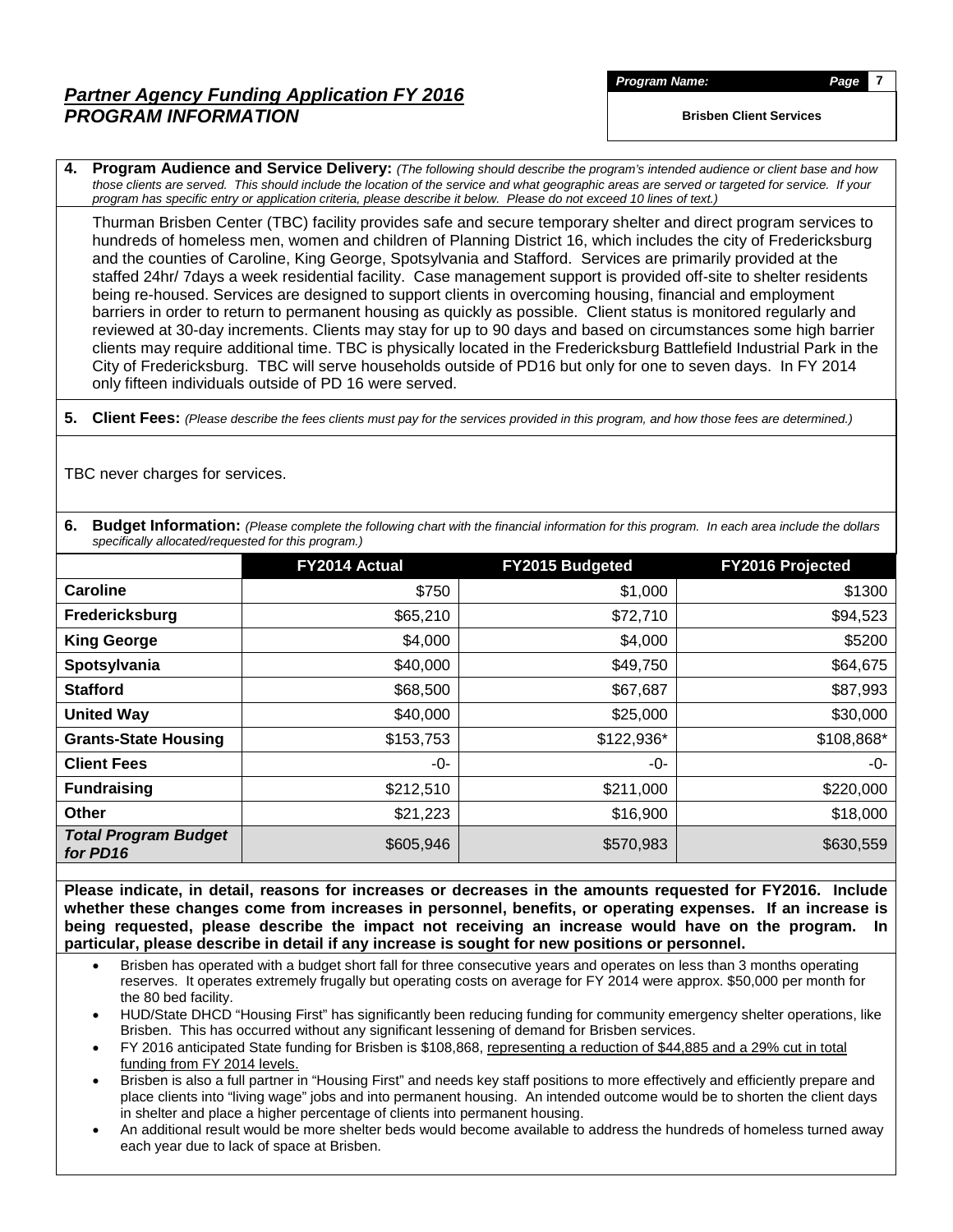# *Partner Agency Funding Application FY 2016 PROGRAM INFORMATION*

**Brisben Client Services** 

**4. Program Audience and Service Delivery:** *(The following should describe the program's intended audience or client base and how those clients are served. This should include the location of the service and what geographic areas are served or targeted for service. If your program has specific entry or application criteria, please describe it below. Please do not exceed 10 lines of text.)*

Thurman Brisben Center (TBC) facility provides safe and secure temporary shelter and direct program services to hundreds of homeless men, women and children of Planning District 16, which includes the city of Fredericksburg and the counties of Caroline, King George, Spotsylvania and Stafford. Services are primarily provided at the staffed 24hr/ 7days a week residential facility. Case management support is provided off-site to shelter residents being re-housed. Services are designed to support clients in overcoming housing, financial and employment barriers in order to return to permanent housing as quickly as possible. Client status is monitored regularly and reviewed at 30-day increments. Clients may stay for up to 90 days and based on circumstances some high barrier clients may require additional time. TBC is physically located in the Fredericksburg Battlefield Industrial Park in the City of Fredericksburg. TBC will serve households outside of PD16 but only for one to seven days. In FY 2014 only fifteen individuals outside of PD 16 were served.

**5. Client Fees:** *(Please describe the fees clients must pay for the services provided in this program, and how those fees are determined.)*

TBC never charges for services.

**6.** Budget Information: (Please complete the following chart with the financial information for this program. In each area include the dollars *specifically allocated/requested for this program.)*

|                                         | FY2014 Actual | FY2015 Budgeted | <b>FY2016 Projected</b> |
|-----------------------------------------|---------------|-----------------|-------------------------|
| Caroline                                | \$750         | \$1,000         | \$1300                  |
| Fredericksburg                          | \$65,210      | \$72,710        | \$94,523                |
| <b>King George</b>                      | \$4,000       | \$4,000         | \$5200                  |
| Spotsylvania                            | \$40,000      | \$49,750        | \$64,675                |
| <b>Stafford</b>                         | \$68,500      | \$67,687        | \$87,993                |
| <b>United Way</b>                       | \$40,000      | \$25,000        | \$30,000                |
| <b>Grants-State Housing</b>             | \$153,753     | \$122,936*      | \$108,868*              |
| <b>Client Fees</b>                      | -0-           | -0-             | -0-                     |
| <b>Fundraising</b>                      | \$212,510     | \$211,000       | \$220,000               |
| <b>Other</b>                            | \$21,223      | \$16,900        | \$18,000                |
| <b>Total Program Budget</b><br>for PD16 | \$605,946     | \$570,983       | \$630,559               |

**Please indicate, in detail, reasons for increases or decreases in the amounts requested for FY2016. Include whether these changes come from increases in personnel, benefits, or operating expenses. If an increase is being requested, please describe the impact not receiving an increase would have on the program. In particular, please describe in detail if any increase is sought for new positions or personnel.**

- Brisben has operated with a budget short fall for three consecutive years and operates on less than 3 months operating reserves. It operates extremely frugally but operating costs on average for FY 2014 were approx. \$50,000 per month for the 80 bed facility.
- HUD/State DHCD "Housing First" has significantly been reducing funding for community emergency shelter operations, like Brisben. This has occurred without any significant lessening of demand for Brisben services.
- FY 2016 anticipated State funding for Brisben is \$108,868, representing a reduction of \$44,885 and a 29% cut in total funding from FY 2014 levels.
- Brisben is also a full partner in "Housing First" and needs key staff positions to more effectively and efficiently prepare and place clients into "living wage" jobs and into permanent housing. An intended outcome would be to shorten the client days in shelter and place a higher percentage of clients into permanent housing.
- An additional result would be more shelter beds would become available to address the hundreds of homeless turned away each year due to lack of space at Brisben.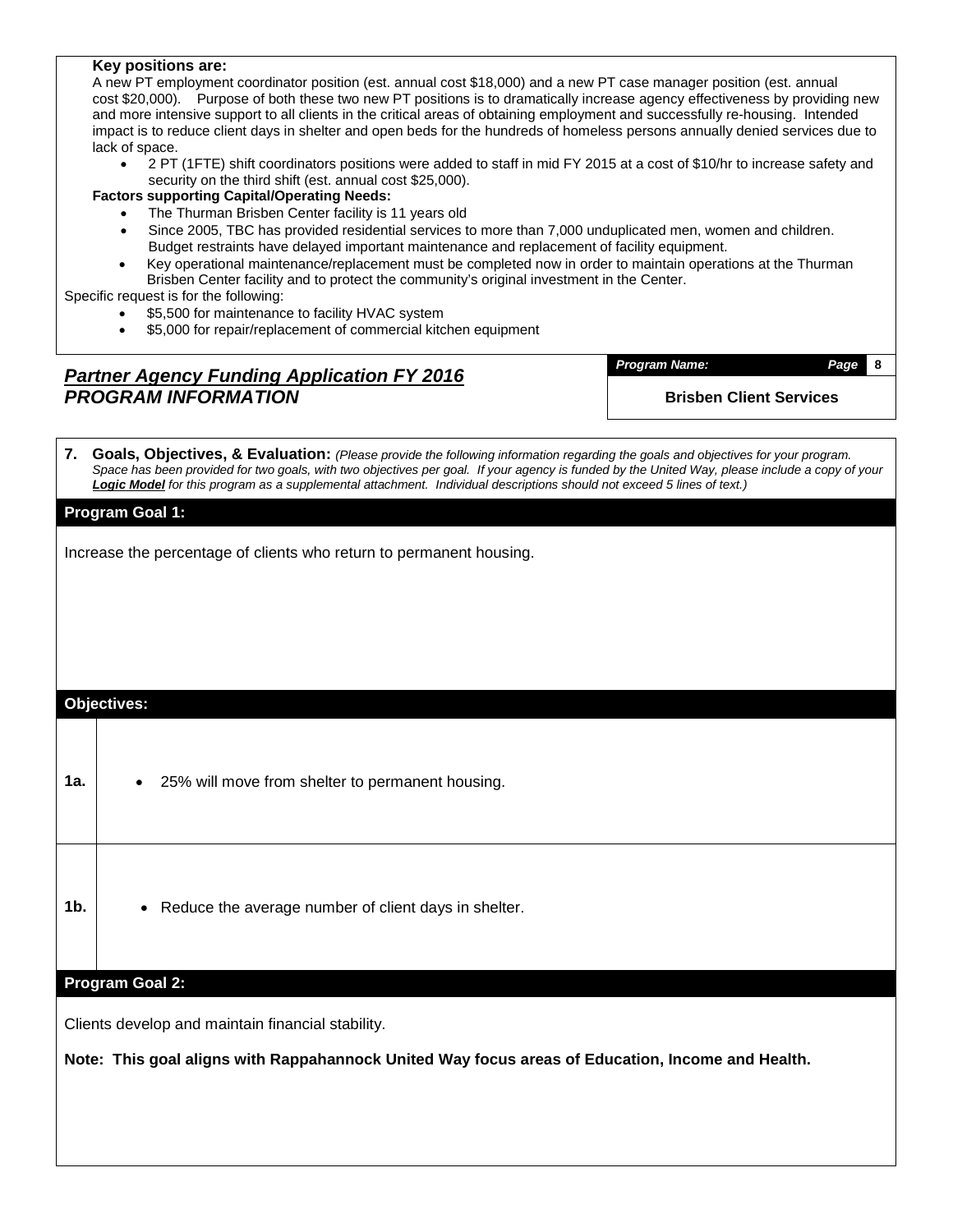### **Key positions are:**

A new PT employment coordinator position (est. annual cost \$18,000) and a new PT case manager position (est. annual cost \$20,000). Purpose of both these two new PT positions is to dramatically increase agency effectiveness by providing new and more intensive support to all clients in the critical areas of obtaining employment and successfully re-housing. Intended impact is to reduce client days in shelter and open beds for the hundreds of homeless persons annually denied services due to lack of space.

• 2 PT (1FTE) shift coordinators positions were added to staff in mid FY 2015 at a cost of \$10/hr to increase safety and security on the third shift (est. annual cost \$25,000).

**Factors supporting Capital/Operating Needs:**

- The Thurman Brisben Center facility is 11 years old
- Since 2005, TBC has provided residential services to more than 7,000 unduplicated men, women and children. Budget restraints have delayed important maintenance and replacement of facility equipment.
- Key operational maintenance/replacement must be completed now in order to maintain operations at the Thurman Brisben Center facility and to protect the community's original investment in the Center.

Specific request is for the following:

- \$5,500 for maintenance to facility HVAC system
- \$5,000 for repair/replacement of commercial kitchen equipment

### *Partner Agency Funding Application FY 2016 PROGRAM INFORMATION*

*Program Name: Page* **8 Brisben Client Services** 

**7. Goals, Objectives, & Evaluation:** *(Please provide the following information regarding the goals and objectives for your program.*  Space has been provided for two goals, with two objectives per goal. If your agency is funded by the United Way, please include a copy of your *Logic Model for this program as a supplemental attachment. Individual descriptions should not exceed 5 lines of text.)*

### **Program Goal 1:**

Increase the percentage of clients who return to permanent housing.

### **Objectives:**

- 1a. **•** 25% will move from shelter to permanent housing.
- **1b.** Reduce the average number of client days in shelter.

### **Program Goal 2:**

Clients develop and maintain financial stability.

**Note: This goal aligns with Rappahannock United Way focus areas of Education, Income and Health.**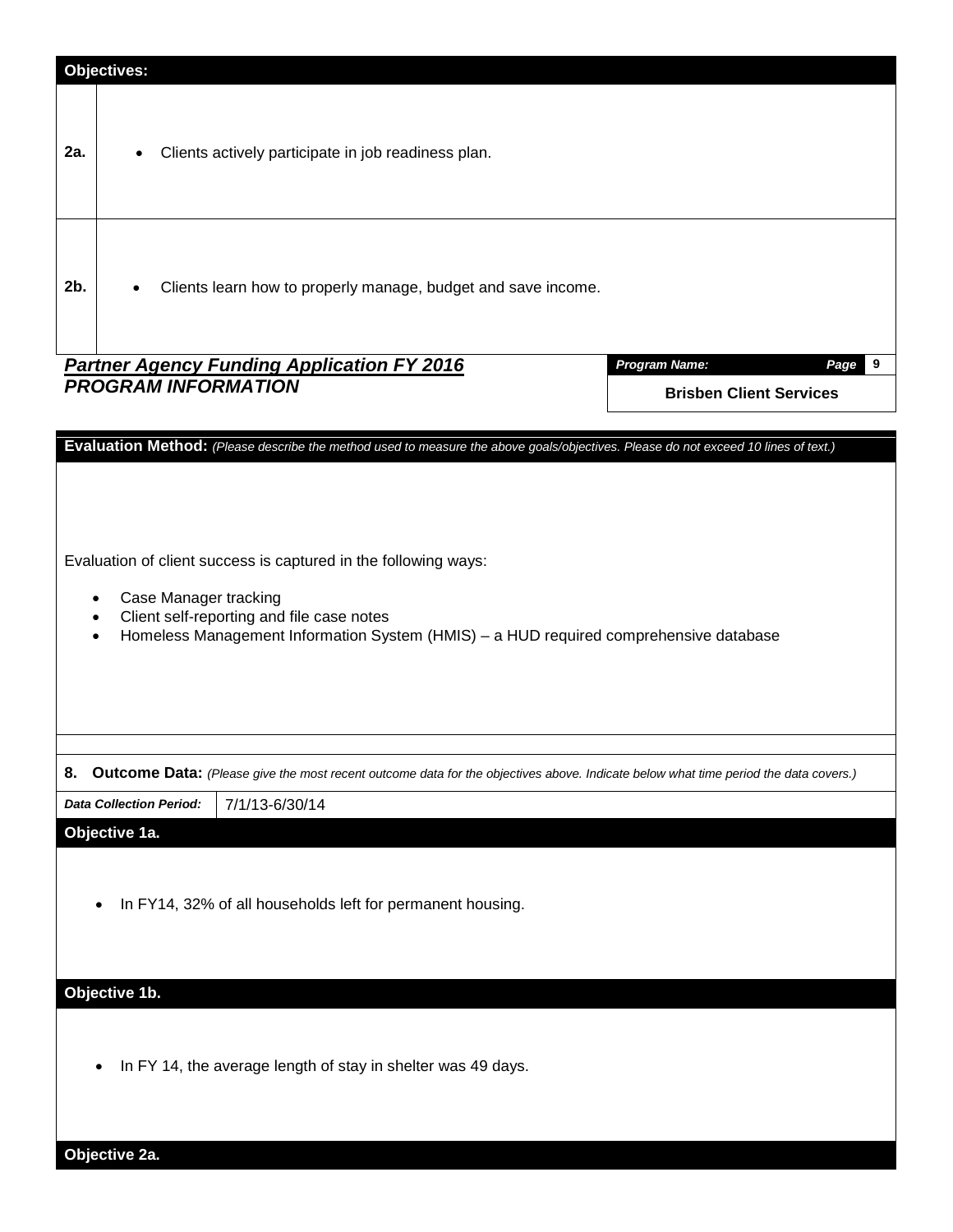|        | <b>Objectives:</b>                                           |                                                                                                                                                                                                       |                                                                                                                                     |
|--------|--------------------------------------------------------------|-------------------------------------------------------------------------------------------------------------------------------------------------------------------------------------------------------|-------------------------------------------------------------------------------------------------------------------------------------|
| 2a.    | $\bullet$                                                    | Clients actively participate in job readiness plan.                                                                                                                                                   |                                                                                                                                     |
| $2b$ . |                                                              | Clients learn how to properly manage, budget and save income.                                                                                                                                         |                                                                                                                                     |
|        | <b>PROGRAM INFORMATION</b>                                   | <b>Partner Agency Funding Application FY 2016</b>                                                                                                                                                     | <b>Program Name:</b><br>Page<br>9<br><b>Brisben Client Services</b>                                                                 |
|        |                                                              |                                                                                                                                                                                                       | Evaluation Method: (Please describe the method used to measure the above goals/objectives. Please do not exceed 10 lines of text.)  |
|        | Case Manager tracking<br>$\bullet$<br>$\bullet$<br>$\bullet$ | Evaluation of client success is captured in the following ways:<br>Client self-reporting and file case notes<br>Homeless Management Information System (HMIS) - a HUD required comprehensive database |                                                                                                                                     |
| 8.     |                                                              |                                                                                                                                                                                                       | Outcome Data: (Please give the most recent outcome data for the objectives above. Indicate below what time period the data covers.) |
|        | <b>Data Collection Period:</b>                               | 7/1/13-6/30/14                                                                                                                                                                                        |                                                                                                                                     |
|        | Objective 1a.<br>$\bullet$                                   | In FY14, 32% of all households left for permanent housing.                                                                                                                                            |                                                                                                                                     |
|        | Objective 1b.                                                |                                                                                                                                                                                                       |                                                                                                                                     |
|        |                                                              | In FY 14, the average length of stay in shelter was 49 days.                                                                                                                                          |                                                                                                                                     |
|        | Objective 2a.                                                |                                                                                                                                                                                                       |                                                                                                                                     |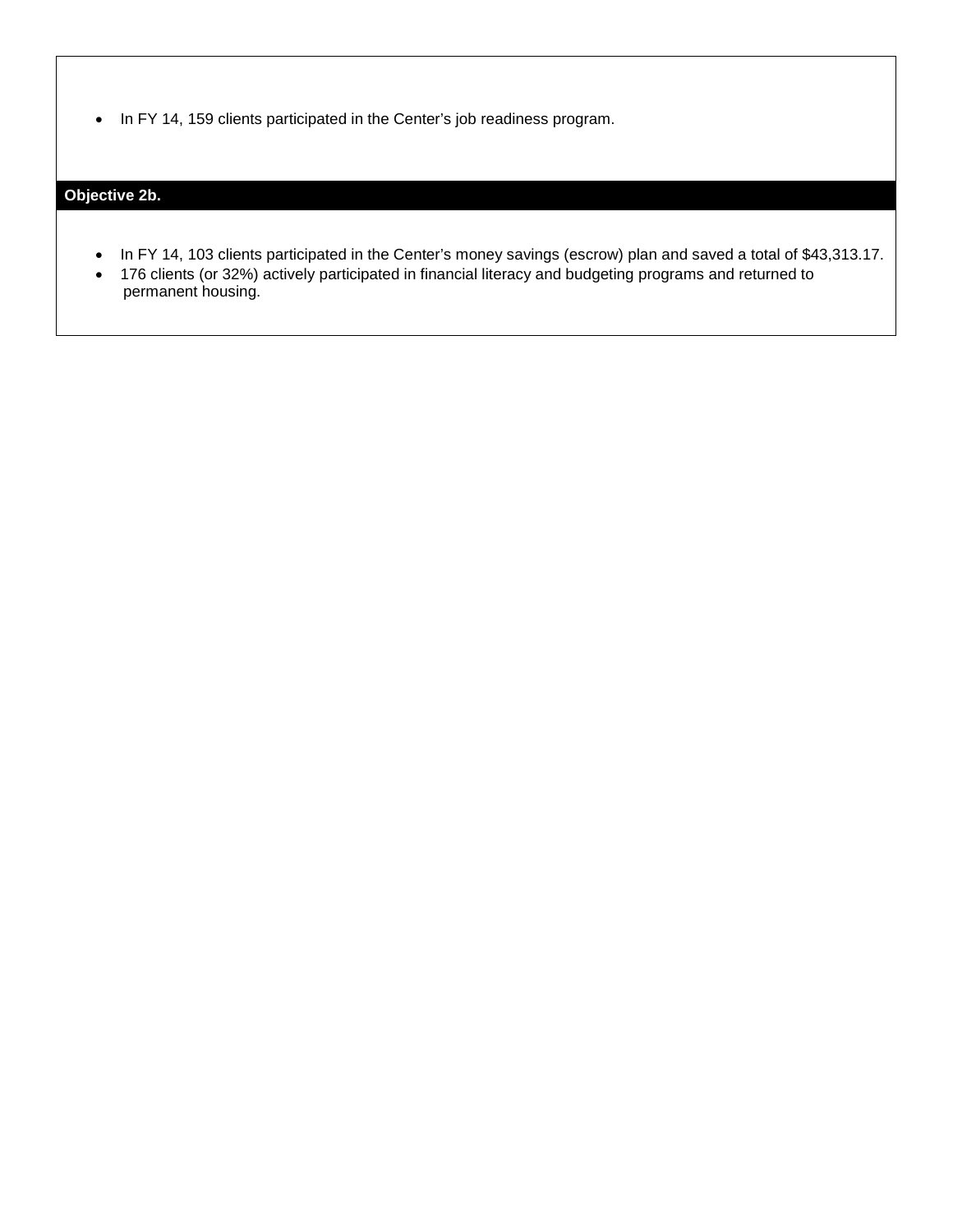• In FY 14, 159 clients participated in the Center's job readiness program.

### **Objective 2b.**

- In FY 14, 103 clients participated in the Center's money savings (escrow) plan and saved a total of \$43,313.17.
- 176 clients (or 32%) actively participated in financial literacy and budgeting programs and returned to permanent housing.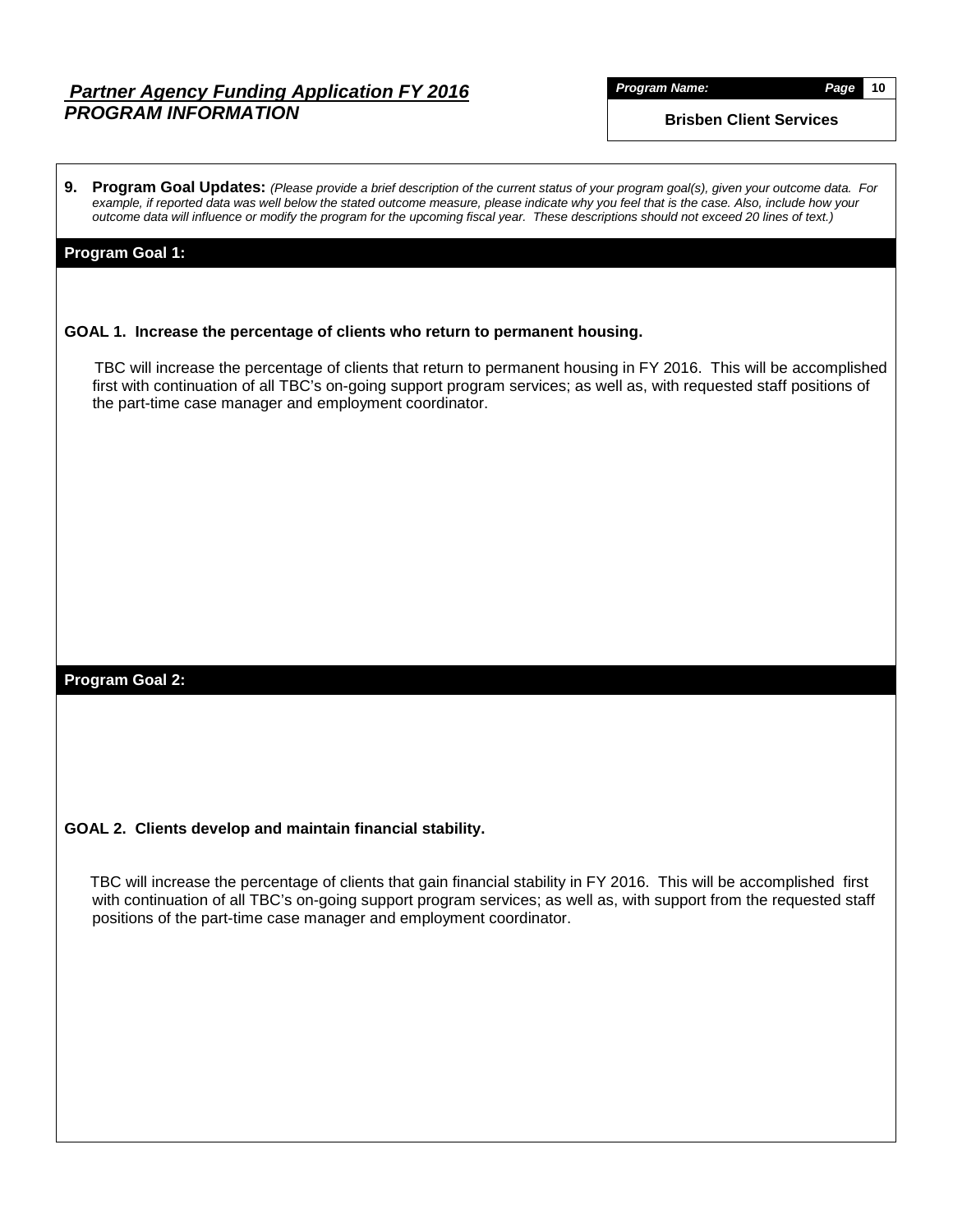### *Partner Agency Funding Application FY 2016 PROGRAM INFORMATION*

*Program Name: Page* **10**

**Brisben Client Services**

**9. Program Goal Updates:** *(Please provide a brief description of the current status of your program goal(s), given your outcome data. For example, if reported data was well below the stated outcome measure, please indicate why you feel that is the case. Also, include how your outcome data will influence or modify the program for the upcoming fiscal year. These descriptions should not exceed 20 lines of text.)*

### **Program Goal 1:**

#### **GOAL 1. Increase the percentage of clients who return to permanent housing.**

 TBC will increase the percentage of clients that return to permanent housing in FY 2016. This will be accomplished first with continuation of all TBC's on-going support program services; as well as, with requested staff positions of the part-time case manager and employment coordinator.

### **Program Goal 2:**

### **GOAL 2. Clients develop and maintain financial stability.**

 TBC will increase the percentage of clients that gain financial stability in FY 2016. This will be accomplished first with continuation of all TBC's on-going support program services; as well as, with support from the requested staff positions of the part-time case manager and employment coordinator.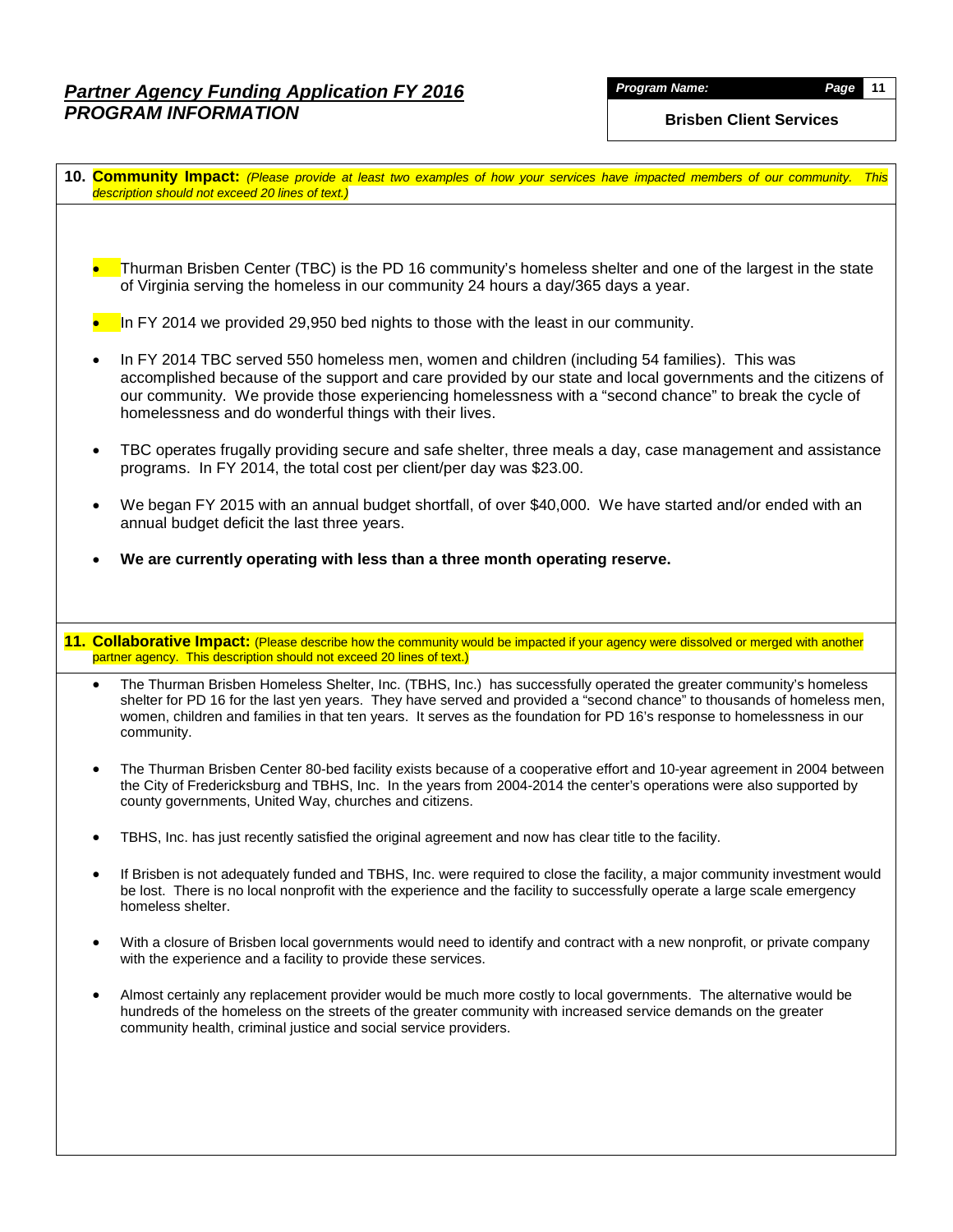# *Partner Agency Funding Application FY 2016 PROGRAM INFORMATION*

### **Brisben Client Services**

| 10. Community Impact: (Please provide at least two examples of how your services have impacted members of our community. This<br>description should not exceed 20 lines of text.)                                                                                                                                                                                                                   |
|-----------------------------------------------------------------------------------------------------------------------------------------------------------------------------------------------------------------------------------------------------------------------------------------------------------------------------------------------------------------------------------------------------|
|                                                                                                                                                                                                                                                                                                                                                                                                     |
| Thurman Brisben Center (TBC) is the PD 16 community's homeless shelter and one of the largest in the state<br>of Virginia serving the homeless in our community 24 hours a day/365 days a year.                                                                                                                                                                                                     |
| In FY 2014 we provided 29,950 bed nights to those with the least in our community.                                                                                                                                                                                                                                                                                                                  |
| In FY 2014 TBC served 550 homeless men, women and children (including 54 families). This was<br>accomplished because of the support and care provided by our state and local governments and the citizens of<br>our community. We provide those experiencing homelessness with a "second chance" to break the cycle of<br>homelessness and do wonderful things with their lives.                    |
| TBC operates frugally providing secure and safe shelter, three meals a day, case management and assistance<br>programs. In FY 2014, the total cost per client/per day was \$23.00.                                                                                                                                                                                                                  |
| We began FY 2015 with an annual budget shortfall, of over \$40,000. We have started and/or ended with an<br>annual budget deficit the last three years.                                                                                                                                                                                                                                             |
| We are currently operating with less than a three month operating reserve.                                                                                                                                                                                                                                                                                                                          |
|                                                                                                                                                                                                                                                                                                                                                                                                     |
| 11. Collaborative Impact: (Please describe how the community would be impacted if your agency were dissolved or merged with another                                                                                                                                                                                                                                                                 |
| partner agency. This description should not exceed 20 lines of text.)                                                                                                                                                                                                                                                                                                                               |
| The Thurman Brisben Homeless Shelter, Inc. (TBHS, Inc.) has successfully operated the greater community's homeless<br>$\bullet$<br>shelter for PD 16 for the last yen years. They have served and provided a "second chance" to thousands of homeless men,<br>women, children and families in that ten years. It serves as the foundation for PD 16's response to homelessness in our<br>community. |
| The Thurman Brisben Center 80-bed facility exists because of a cooperative effort and 10-year agreement in 2004 between<br>$\bullet$<br>the City of Fredericksburg and TBHS, Inc. In the years from 2004-2014 the center's operations were also supported by<br>county governments, United Way, churches and citizens.                                                                              |
| TBHS, Inc. has just recently satisfied the original agreement and now has clear title to the facility.                                                                                                                                                                                                                                                                                              |
| If Brisben is not adequately funded and TBHS, Inc. were required to close the facility, a major community investment would<br>be lost. There is no local nonprofit with the experience and the facility to successfully operate a large scale emergency<br>homeless shelter.                                                                                                                        |
| With a closure of Brisben local governments would need to identify and contract with a new nonprofit, or private company<br>with the experience and a facility to provide these services.                                                                                                                                                                                                           |
| Almost certainly any replacement provider would be much more costly to local governments. The alternative would be<br>hundreds of the homeless on the streets of the greater community with increased service demands on the greater<br>community health, criminal justice and social service providers.                                                                                            |
|                                                                                                                                                                                                                                                                                                                                                                                                     |